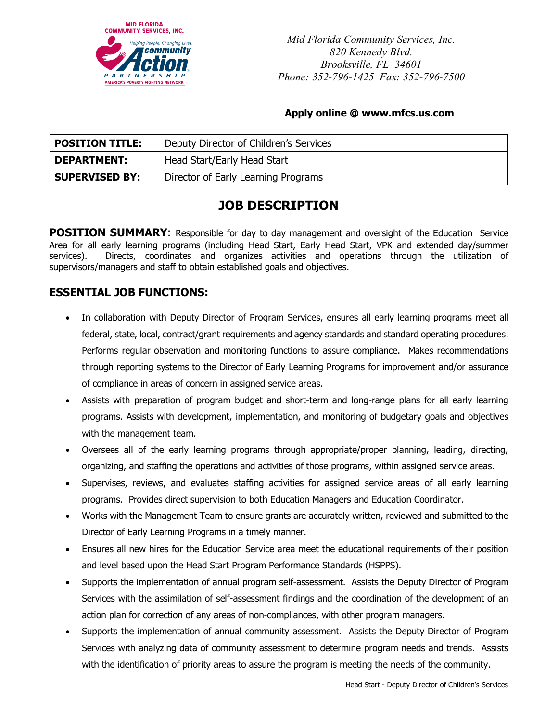

*Mid Florida Community Services, Inc. 820 Kennedy Blvd. Brooksville, FL 34601 Phone: 352-796-1425 Fax: 352-796-7500* 

#### **Apply online @ www.mfcs.us.com**

| <b>POSITION TITLE:</b> | Deputy Director of Children's Services |
|------------------------|----------------------------------------|
| <b>DEPARTMENT:</b>     | Head Start/Early Head Start            |
| <b>SUPERVISED BY:</b>  | Director of Early Learning Programs    |

# **JOB DESCRIPTION**

**POSITION SUMMARY:** Responsible for day to day management and oversight of the Education Service Area for all early learning programs (including Head Start, Early Head Start, VPK and extended day/summer services). Directs, coordinates and organizes activities and operations through the utilization of supervisors/managers and staff to obtain established goals and objectives.

### **ESSENTIAL JOB FUNCTIONS:**

- In collaboration with Deputy Director of Program Services, ensures all early learning programs meet all federal, state, local, contract/grant requirements and agency standards and standard operating procedures. Performs regular observation and monitoring functions to assure compliance. Makes recommendations through reporting systems to the Director of Early Learning Programs for improvement and/or assurance of compliance in areas of concern in assigned service areas.
- Assists with preparation of program budget and short-term and long-range plans for all early learning programs. Assists with development, implementation, and monitoring of budgetary goals and objectives with the management team.
- Oversees all of the early learning programs through appropriate/proper planning, leading, directing, organizing, and staffing the operations and activities of those programs, within assigned service areas.
- Supervises, reviews, and evaluates staffing activities for assigned service areas of all early learning programs. Provides direct supervision to both Education Managers and Education Coordinator.
- Works with the Management Team to ensure grants are accurately written, reviewed and submitted to the Director of Early Learning Programs in a timely manner.
- Ensures all new hires for the Education Service area meet the educational requirements of their position and level based upon the Head Start Program Performance Standards (HSPPS).
- Supports the implementation of annual program self-assessment. Assists the Deputy Director of Program Services with the assimilation of self-assessment findings and the coordination of the development of an action plan for correction of any areas of non-compliances, with other program managers.
- Supports the implementation of annual community assessment. Assists the Deputy Director of Program Services with analyzing data of community assessment to determine program needs and trends. Assists with the identification of priority areas to assure the program is meeting the needs of the community.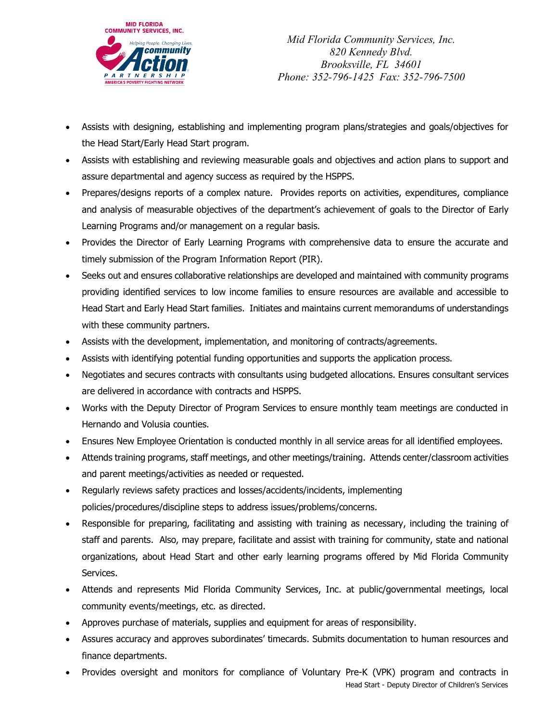

*Mid Florida Community Services, Inc. 820 Kennedy Blvd. Brooksville, FL 34601 Phone: 352-796-1425 Fax: 352-796-7500*

- Assists with designing, establishing and implementing program plans/strategies and goals/objectives for the Head Start/Early Head Start program.
- Assists with establishing and reviewing measurable goals and objectives and action plans to support and assure departmental and agency success as required by the HSPPS.
- Prepares/designs reports of a complex nature. Provides reports on activities, expenditures, compliance and analysis of measurable objectives of the department's achievement of goals to the Director of Early Learning Programs and/or management on a regular basis.
- Provides the Director of Early Learning Programs with comprehensive data to ensure the accurate and timely submission of the Program Information Report (PIR).
- Seeks out and ensures collaborative relationships are developed and maintained with community programs providing identified services to low income families to ensure resources are available and accessible to Head Start and Early Head Start families. Initiates and maintains current memorandums of understandings with these community partners.
- Assists with the development, implementation, and monitoring of contracts/agreements.
- Assists with identifying potential funding opportunities and supports the application process.
- Negotiates and secures contracts with consultants using budgeted allocations. Ensures consultant services are delivered in accordance with contracts and HSPPS.
- Works with the Deputy Director of Program Services to ensure monthly team meetings are conducted in Hernando and Volusia counties.
- Ensures New Employee Orientation is conducted monthly in all service areas for all identified employees.
- Attends training programs, staff meetings, and other meetings/training. Attends center/classroom activities and parent meetings/activities as needed or requested.
- Regularly reviews safety practices and losses/accidents/incidents, implementing policies/procedures/discipline steps to address issues/problems/concerns.
- Responsible for preparing, facilitating and assisting with training as necessary, including the training of staff and parents. Also, may prepare, facilitate and assist with training for community, state and national organizations, about Head Start and other early learning programs offered by Mid Florida Community Services.
- Attends and represents Mid Florida Community Services, Inc. at public/governmental meetings, local community events/meetings, etc. as directed.
- Approves purchase of materials, supplies and equipment for areas of responsibility.
- Assures accuracy and approves subordinates' timecards. Submits documentation to human resources and finance departments.
- Provides oversight and monitors for compliance of Voluntary Pre-K (VPK) program and contracts in

Head Start - Deputy Director of Children's Services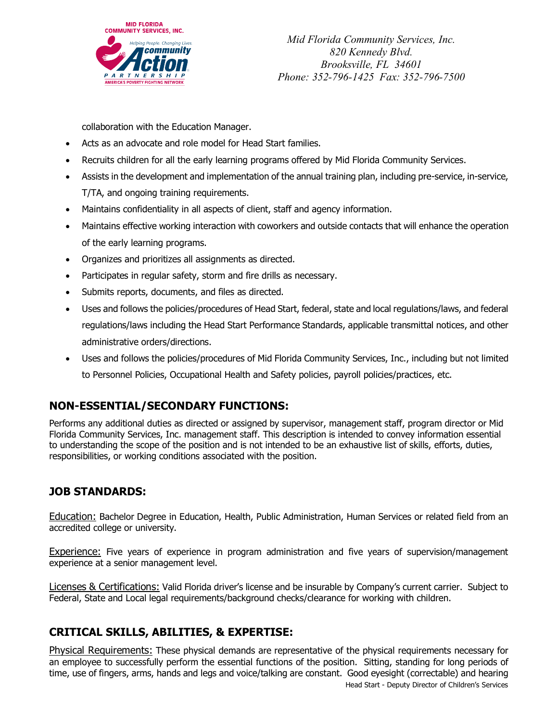

*Mid Florida Community Services, Inc. 820 Kennedy Blvd. Brooksville, FL 34601 Phone: 352-796-1425 Fax: 352-796-7500*

collaboration with the Education Manager.

- Acts as an advocate and role model for Head Start families.
- Recruits children for all the early learning programs offered by Mid Florida Community Services.
- Assists in the development and implementation of the annual training plan, including pre-service, in-service, T/TA, and ongoing training requirements.
- Maintains confidentiality in all aspects of client, staff and agency information.
- Maintains effective working interaction with coworkers and outside contacts that will enhance the operation of the early learning programs.
- Organizes and prioritizes all assignments as directed.
- Participates in regular safety, storm and fire drills as necessary.
- Submits reports, documents, and files as directed.
- Uses and follows the policies/procedures of Head Start, federal, state and local regulations/laws, and federal regulations/laws including the Head Start Performance Standards, applicable transmittal notices, and other administrative orders/directions.
- Uses and follows the policies/procedures of Mid Florida Community Services, Inc., including but not limited to Personnel Policies, Occupational Health and Safety policies, payroll policies/practices, etc.

## **NON-ESSENTIAL/SECONDARY FUNCTIONS:**

Performs any additional duties as directed or assigned by supervisor, management staff, program director or Mid Florida Community Services, Inc. management staff. This description is intended to convey information essential to understanding the scope of the position and is not intended to be an exhaustive list of skills, efforts, duties, responsibilities, or working conditions associated with the position.

### **JOB STANDARDS:**

Education: Bachelor Degree in Education, Health, Public Administration, Human Services or related field from an accredited college or university.

Experience: Five years of experience in program administration and five years of supervision/management experience at a senior management level.

Licenses & Certifications: Valid Florida driver's license and be insurable by Company's current carrier. Subject to Federal, State and Local legal requirements/background checks/clearance for working with children.

### **CRITICAL SKILLS, ABILITIES, & EXPERTISE:**

Physical Requirements: These physical demands are representative of the physical requirements necessary for an employee to successfully perform the essential functions of the position. Sitting, standing for long periods of time, use of fingers, arms, hands and legs and voice/talking are constant. Good eyesight (correctable) and hearing